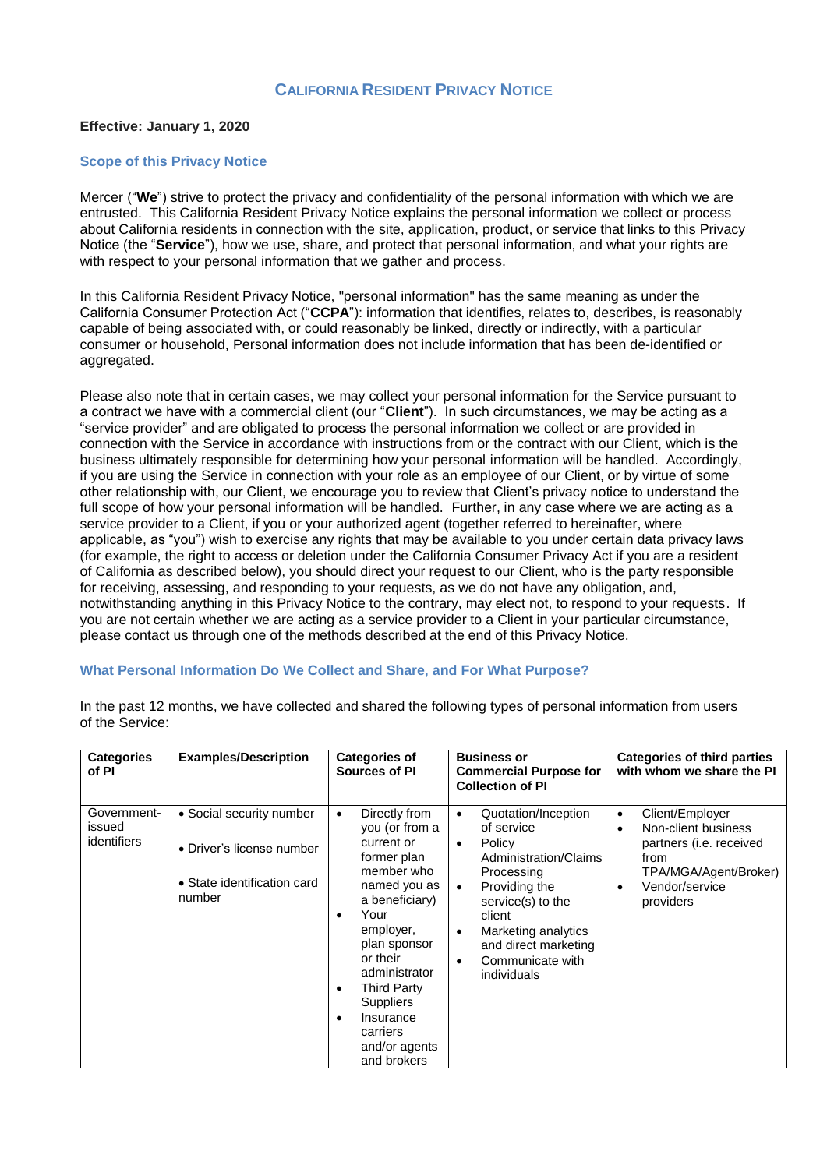# **CALIFORNIA RESIDENT PRIVACY NOTICE**

## **Effective: January 1, 2020**

#### **Scope of this Privacy Notice**

Mercer ("**We**") strive to protect the privacy and confidentiality of the personal information with which we are entrusted. This California Resident Privacy Notice explains the personal information we collect or process about California residents in connection with the site, application, product, or service that links to this Privacy Notice (the "**Service**"), how we use, share, and protect that personal information, and what your rights are with respect to your personal information that we gather and process.

In this California Resident Privacy Notice, "personal information" has the same meaning as under the California Consumer Protection Act ("**CCPA**"): information that identifies, relates to, describes, is reasonably capable of being associated with, or could reasonably be linked, directly or indirectly, with a particular consumer or household, Personal information does not include information that has been de-identified or aggregated.

Please also note that in certain cases, we may collect your personal information for the Service pursuant to a contract we have with a commercial client (our "**Client**"). In such circumstances, we may be acting as a "service provider" and are obligated to process the personal information we collect or are provided in connection with the Service in accordance with instructions from or the contract with our Client, which is the business ultimately responsible for determining how your personal information will be handled. Accordingly, if you are using the Service in connection with your role as an employee of our Client, or by virtue of some other relationship with, our Client, we encourage you to review that Client's privacy notice to understand the full scope of how your personal information will be handled. Further, in any case where we are acting as a service provider to a Client, if you or your authorized agent (together referred to hereinafter, where applicable, as "you") wish to exercise any rights that may be available to you under certain data privacy laws (for example, the right to access or deletion under the California Consumer Privacy Act if you are a resident of California as described below), you should direct your request to our Client, who is the party responsible for receiving, assessing, and responding to your requests, as we do not have any obligation, and, notwithstanding anything in this Privacy Notice to the contrary, may elect not, to respond to your requests. If you are not certain whether we are acting as a service provider to a Client in your particular circumstance, please contact us through one of the methods described at the end of this Privacy Notice.

## **What Personal Information Do We Collect and Share, and For What Purpose?**

| <b>Categories</b><br>of PI                  | <b>Examples/Description</b>                                                                    | <b>Categories of</b><br><b>Sources of PI</b>                                                                                                                                                                                                                                                                  | <b>Business or</b><br><b>Commercial Purpose for</b><br><b>Collection of PI</b>                                                                                                                                                                                                        | <b>Categories of third parties</b><br>with whom we share the PI                                                                                             |
|---------------------------------------------|------------------------------------------------------------------------------------------------|---------------------------------------------------------------------------------------------------------------------------------------------------------------------------------------------------------------------------------------------------------------------------------------------------------------|---------------------------------------------------------------------------------------------------------------------------------------------------------------------------------------------------------------------------------------------------------------------------------------|-------------------------------------------------------------------------------------------------------------------------------------------------------------|
| Government-<br>issued<br><i>identifiers</i> | • Social security number<br>• Driver's license number<br>• State identification card<br>number | Directly from<br>$\bullet$<br>you (or from a<br>current or<br>former plan<br>member who<br>named you as<br>a beneficiary)<br>Your<br>٠<br>employer,<br>plan sponsor<br>or their<br>administrator<br><b>Third Party</b><br>٠<br><b>Suppliers</b><br>Insurance<br>٠<br>carriers<br>and/or agents<br>and brokers | Quotation/Inception<br>$\bullet$<br>of service<br>Policy<br>$\bullet$<br>Administration/Claims<br>Processing<br>Providing the<br>$\bullet$<br>service(s) to the<br>client<br>Marketing analytics<br>$\bullet$<br>and direct marketing<br>Communicate with<br>$\bullet$<br>individuals | Client/Employer<br>$\bullet$<br>Non-client business<br>partners (i.e. received<br>from<br>TPA/MGA/Agent/Broker)<br>Vendor/service<br>$\bullet$<br>providers |

In the past 12 months, we have collected and shared the following types of personal information from users of the Service: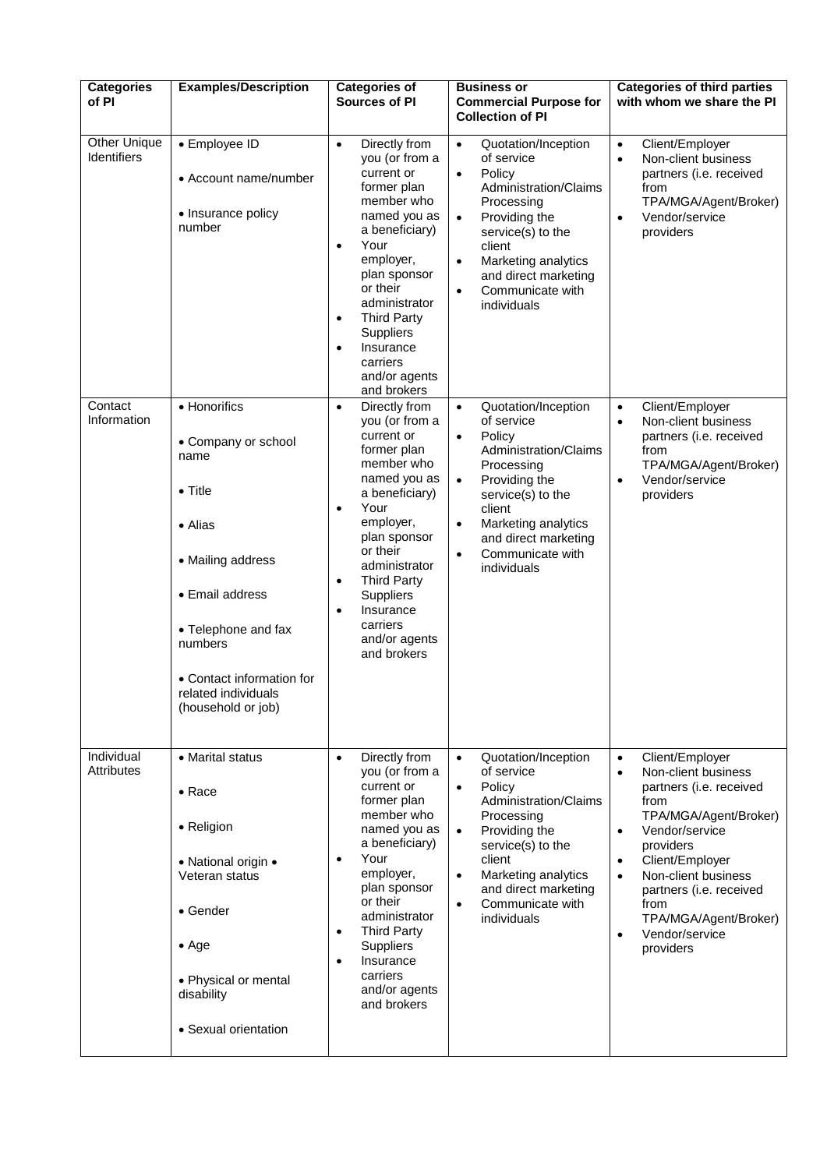| <b>Categories</b><br>of PI                | <b>Examples/Description</b>                                                                                                                                                                                                   | <b>Categories of</b><br><b>Sources of PI</b>                                                                                                                                                                                                                                                                                   | <b>Business or</b><br><b>Commercial Purpose for</b><br><b>Collection of PI</b>                                                                                                                                                                                                        | <b>Categories of third parties</b><br>with whom we share the PI                                                                                                                                                                                                                                                                                      |
|-------------------------------------------|-------------------------------------------------------------------------------------------------------------------------------------------------------------------------------------------------------------------------------|--------------------------------------------------------------------------------------------------------------------------------------------------------------------------------------------------------------------------------------------------------------------------------------------------------------------------------|---------------------------------------------------------------------------------------------------------------------------------------------------------------------------------------------------------------------------------------------------------------------------------------|------------------------------------------------------------------------------------------------------------------------------------------------------------------------------------------------------------------------------------------------------------------------------------------------------------------------------------------------------|
| <b>Other Unique</b><br><b>Identifiers</b> | • Employee ID<br>• Account name/number<br>• Insurance policy<br>number                                                                                                                                                        | Directly from<br>$\bullet$<br>you (or from a<br>current or<br>former plan<br>member who<br>named you as<br>a beneficiary)<br>Your<br>$\bullet$<br>employer,<br>plan sponsor<br>or their<br>administrator<br><b>Third Party</b><br>$\bullet$<br>Suppliers<br>Insurance<br>$\bullet$<br>carriers<br>and/or agents<br>and brokers | Quotation/Inception<br>$\bullet$<br>of service<br>$\bullet$<br>Policy<br>Administration/Claims<br>Processing<br>Providing the<br>$\bullet$<br>service(s) to the<br>client<br>Marketing analytics<br>$\bullet$<br>and direct marketing<br>Communicate with<br>$\bullet$<br>individuals | Client/Employer<br>$\bullet$<br>Non-client business<br>$\bullet$<br>partners (i.e. received<br>from<br>TPA/MGA/Agent/Broker)<br>Vendor/service<br>$\bullet$<br>providers                                                                                                                                                                             |
| Contact<br>Information                    | • Honorifics<br>• Company or school<br>name<br>$\bullet$ Title<br>• Alias<br>• Mailing address<br>• Email address<br>• Telephone and fax<br>numbers<br>• Contact information for<br>related individuals<br>(household or job) | Directly from<br>$\bullet$<br>you (or from a<br>current or<br>former plan<br>member who<br>named you as<br>a beneficiary)<br>Your<br>$\bullet$<br>employer,<br>plan sponsor<br>or their<br>administrator<br><b>Third Party</b><br>$\bullet$<br>Suppliers<br>Insurance<br>$\bullet$<br>carriers<br>and/or agents<br>and brokers | Quotation/Inception<br>$\bullet$<br>of service<br>Policy<br>$\bullet$<br>Administration/Claims<br>Processing<br>Providing the<br>$\bullet$<br>service(s) to the<br>client<br>Marketing analytics<br>$\bullet$<br>and direct marketing<br>Communicate with<br>$\bullet$<br>individuals | Client/Employer<br>$\bullet$<br>Non-client business<br>$\bullet$<br>partners (i.e. received<br>from<br>TPA/MGA/Agent/Broker)<br>Vendor/service<br>$\bullet$<br>providers                                                                                                                                                                             |
| Individual<br><b>Attributes</b>           | • Marital status<br>$\bullet$ Race<br>• Religion<br>• National origin •<br>Veteran status<br>$\bullet$ Gender<br>$\bullet$ Age<br>• Physical or mental<br>disability<br>• Sexual orientation                                  | Directly from<br>$\bullet$<br>you (or from a<br>current or<br>former plan<br>member who<br>named you as<br>a beneficiary)<br>Your<br>$\bullet$<br>employer,<br>plan sponsor<br>or their<br>administrator<br><b>Third Party</b><br>$\bullet$<br>Suppliers<br>Insurance<br>$\bullet$<br>carriers<br>and/or agents<br>and brokers | Quotation/Inception<br>$\bullet$<br>of service<br>Policy<br>$\bullet$<br>Administration/Claims<br>Processing<br>Providing the<br>$\bullet$<br>service(s) to the<br>client<br>Marketing analytics<br>$\bullet$<br>and direct marketing<br>Communicate with<br>$\bullet$<br>individuals | Client/Employer<br>$\bullet$<br>Non-client business<br>$\bullet$<br>partners (i.e. received<br>from<br>TPA/MGA/Agent/Broker)<br>Vendor/service<br>$\bullet$<br>providers<br>Client/Employer<br>$\bullet$<br>Non-client business<br>$\bullet$<br>partners (i.e. received<br>from<br>TPA/MGA/Agent/Broker)<br>Vendor/service<br>$\bullet$<br>providers |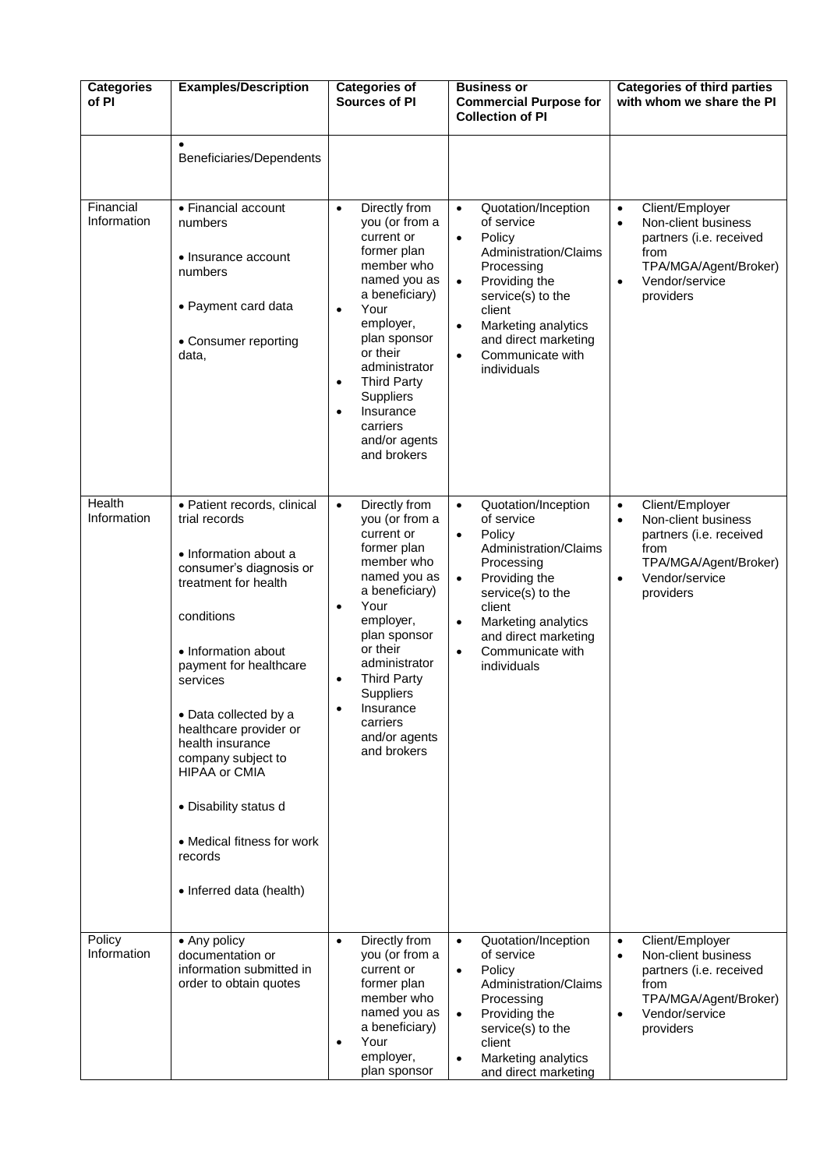| <b>Categories</b><br>of PI | <b>Examples/Description</b>                                                                                                                                                                                                                                                                                                                                                                                            | <b>Categories of</b><br><b>Sources of PI</b>                                                                                                                                                                                                                                                                                   | <b>Business or</b><br><b>Commercial Purpose for</b><br><b>Collection of PI</b>                                                                                                                                                                                                        | <b>Categories of third parties</b><br>with whom we share the PI                                                                                                          |
|----------------------------|------------------------------------------------------------------------------------------------------------------------------------------------------------------------------------------------------------------------------------------------------------------------------------------------------------------------------------------------------------------------------------------------------------------------|--------------------------------------------------------------------------------------------------------------------------------------------------------------------------------------------------------------------------------------------------------------------------------------------------------------------------------|---------------------------------------------------------------------------------------------------------------------------------------------------------------------------------------------------------------------------------------------------------------------------------------|--------------------------------------------------------------------------------------------------------------------------------------------------------------------------|
|                            | Beneficiaries/Dependents                                                                                                                                                                                                                                                                                                                                                                                               |                                                                                                                                                                                                                                                                                                                                |                                                                                                                                                                                                                                                                                       |                                                                                                                                                                          |
| Financial<br>Information   | • Financial account<br>numbers<br>• Insurance account<br>numbers<br>• Payment card data<br>• Consumer reporting<br>data,                                                                                                                                                                                                                                                                                               | Directly from<br>$\bullet$<br>you (or from a<br>current or<br>former plan<br>member who<br>named you as<br>a beneficiary)<br>Your<br>$\bullet$<br>employer,<br>plan sponsor<br>or their<br>administrator<br><b>Third Party</b><br>$\bullet$<br>Suppliers<br>Insurance<br>$\bullet$<br>carriers<br>and/or agents<br>and brokers | Quotation/Inception<br>$\bullet$<br>of service<br>Policy<br>$\bullet$<br>Administration/Claims<br>Processing<br>Providing the<br>$\bullet$<br>service(s) to the<br>client<br>Marketing analytics<br>$\bullet$<br>and direct marketing<br>Communicate with<br>$\bullet$<br>individuals | Client/Employer<br>$\bullet$<br>Non-client business<br>$\bullet$<br>partners (i.e. received<br>from<br>TPA/MGA/Agent/Broker)<br>Vendor/service<br>$\bullet$<br>providers |
| Health<br>Information      | · Patient records, clinical<br>trial records<br>• Information about a<br>consumer's diagnosis or<br>treatment for health<br>conditions<br>• Information about<br>payment for healthcare<br>services<br>• Data collected by a<br>healthcare provider or<br>health insurance<br>company subject to<br><b>HIPAA or CMIA</b><br>• Disability status d<br>• Medical fitness for work<br>records<br>• Inferred data (health) | Directly from<br>$\bullet$<br>you (or from a<br>current or<br>former plan<br>member who<br>named you as<br>a beneficiary)<br>Your<br>$\bullet$<br>employer,<br>plan sponsor<br>or their<br>administrator<br><b>Third Party</b><br>$\bullet$<br>Suppliers<br>Insurance<br>carriers<br>and/or agents<br>and brokers              | Quotation/Inception<br>$\bullet$<br>of service<br>Policy<br>$\bullet$<br>Administration/Claims<br>Processing<br>Providing the<br>$\bullet$<br>service(s) to the<br>client<br>Marketing analytics<br>$\bullet$<br>and direct marketing<br>Communicate with<br>$\bullet$<br>individuals | Client/Employer<br>$\bullet$<br>Non-client business<br>$\bullet$<br>partners (i.e. received<br>from<br>TPA/MGA/Agent/Broker)<br>Vendor/service<br>$\bullet$<br>providers |
| Policy<br>Information      | • Any policy<br>documentation or<br>information submitted in<br>order to obtain quotes                                                                                                                                                                                                                                                                                                                                 | Directly from<br>$\bullet$<br>you (or from a<br>current or<br>former plan<br>member who<br>named you as<br>a beneficiary)<br>Your<br>$\bullet$<br>employer,<br>plan sponsor                                                                                                                                                    | $\bullet$<br>Quotation/Inception<br>of service<br>Policy<br>$\bullet$<br>Administration/Claims<br>Processing<br>Providing the<br>$\bullet$<br>service(s) to the<br>client<br>Marketing analytics<br>$\bullet$<br>and direct marketing                                                 | Client/Employer<br>$\bullet$<br>Non-client business<br>$\bullet$<br>partners (i.e. received<br>from<br>TPA/MGA/Agent/Broker)<br>Vendor/service<br>$\bullet$<br>providers |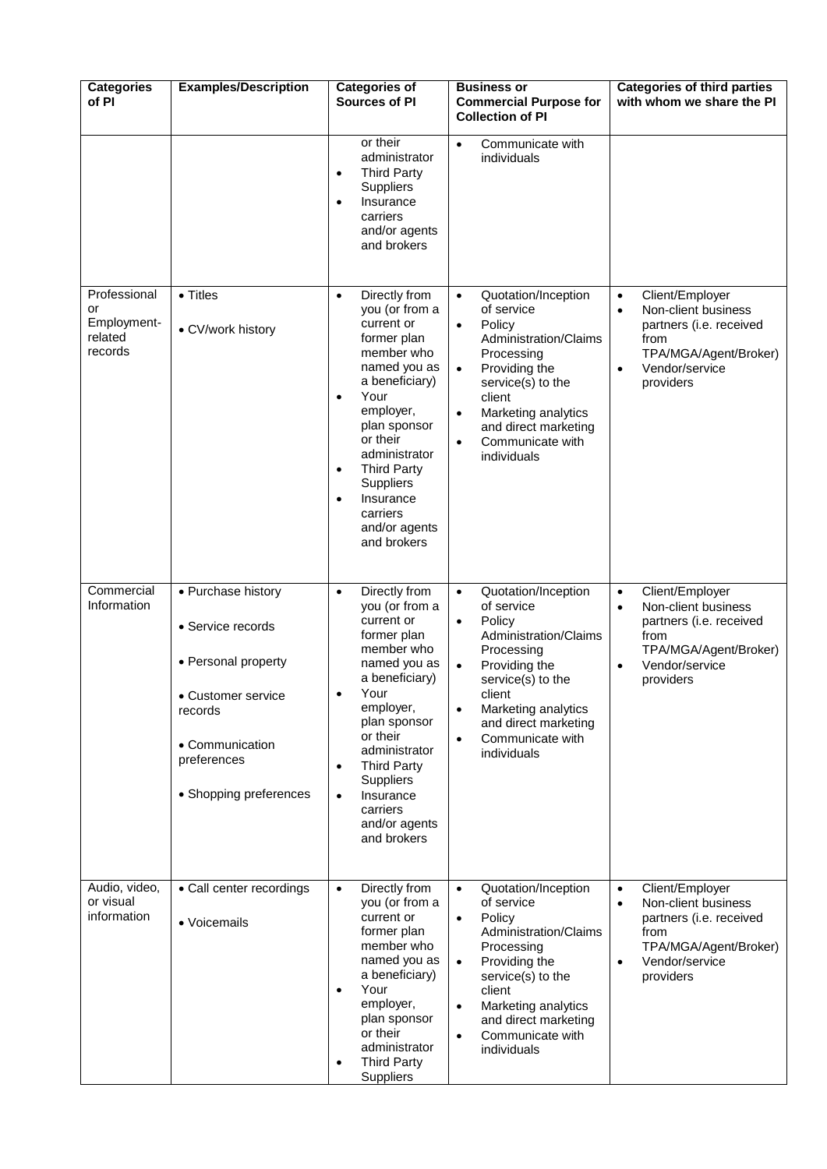| <b>Categories</b><br>of PI                              | <b>Examples/Description</b>                                                                                                                                 | <b>Categories of</b><br><b>Sources of PI</b>                                                                                                                                                                                                                                                                                          | <b>Business or</b><br><b>Commercial Purpose for</b><br><b>Collection of PI</b>                                                                                                                                                                                                        | <b>Categories of third parties</b><br>with whom we share the PI                                                                                                          |
|---------------------------------------------------------|-------------------------------------------------------------------------------------------------------------------------------------------------------------|---------------------------------------------------------------------------------------------------------------------------------------------------------------------------------------------------------------------------------------------------------------------------------------------------------------------------------------|---------------------------------------------------------------------------------------------------------------------------------------------------------------------------------------------------------------------------------------------------------------------------------------|--------------------------------------------------------------------------------------------------------------------------------------------------------------------------|
|                                                         |                                                                                                                                                             | or their<br>administrator<br><b>Third Party</b><br>$\bullet$<br>Suppliers<br>Insurance<br>$\bullet$<br>carriers<br>and/or agents<br>and brokers                                                                                                                                                                                       | Communicate with<br>$\bullet$<br>individuals                                                                                                                                                                                                                                          |                                                                                                                                                                          |
| Professional<br>or<br>Employment-<br>related<br>records | • Titles<br>• CV/work history                                                                                                                               | Directly from<br>$\bullet$<br>you (or from a<br>current or<br>former plan<br>member who<br>named you as<br>a beneficiary)<br>Your<br>$\bullet$<br>employer,<br>plan sponsor<br>or their<br>administrator<br><b>Third Party</b><br>$\bullet$<br><b>Suppliers</b><br>Insurance<br>$\bullet$<br>carriers<br>and/or agents<br>and brokers | $\bullet$<br>Quotation/Inception<br>of service<br>Policy<br>$\bullet$<br>Administration/Claims<br>Processing<br>Providing the<br>$\bullet$<br>service(s) to the<br>client<br>Marketing analytics<br>$\bullet$<br>and direct marketing<br>Communicate with<br>$\bullet$<br>individuals | Client/Employer<br>$\bullet$<br>Non-client business<br>$\bullet$<br>partners (i.e. received<br>from<br>TPA/MGA/Agent/Broker)<br>Vendor/service<br>$\bullet$<br>providers |
| Commercial<br>Information                               | • Purchase history<br>• Service records<br>• Personal property<br>• Customer service<br>records<br>• Communication<br>preferences<br>• Shopping preferences | Directly from<br>$\bullet$<br>you (or from a<br>current or<br>former plan<br>member who<br>named you as<br>a beneficiary)<br>Your<br>$\bullet$<br>employer,<br>plan sponsor<br>or their<br>administrator<br><b>Third Party</b><br>$\bullet$<br>Suppliers<br>Insurance<br>$\bullet$<br>carriers<br>and/or agents<br>and brokers        | Quotation/Inception<br>$\bullet$<br>of service<br>Policy<br>$\bullet$<br>Administration/Claims<br>Processing<br>Providing the<br>$\bullet$<br>service(s) to the<br>client<br>Marketing analytics<br>$\bullet$<br>and direct marketing<br>Communicate with<br>$\bullet$<br>individuals | Client/Employer<br>$\bullet$<br>Non-client business<br>$\bullet$<br>partners (i.e. received<br>from<br>TPA/MGA/Agent/Broker)<br>Vendor/service<br>$\bullet$<br>providers |
| Audio, video,<br>or visual<br>information               | • Call center recordings<br>• Voicemails                                                                                                                    | Directly from<br>$\bullet$<br>you (or from a<br>current or<br>former plan<br>member who<br>named you as<br>a beneficiary)<br>Your<br>$\bullet$<br>employer,<br>plan sponsor<br>or their<br>administrator<br><b>Third Party</b><br>$\bullet$<br><b>Suppliers</b>                                                                       | Quotation/Inception<br>$\bullet$<br>of service<br>Policy<br>٠<br>Administration/Claims<br>Processing<br>Providing the<br>$\bullet$<br>service(s) to the<br>client<br>Marketing analytics<br>$\bullet$<br>and direct marketing<br>Communicate with<br>$\bullet$<br>individuals         | Client/Employer<br>$\bullet$<br>Non-client business<br>$\bullet$<br>partners (i.e. received<br>from<br>TPA/MGA/Agent/Broker)<br>Vendor/service<br>$\bullet$<br>providers |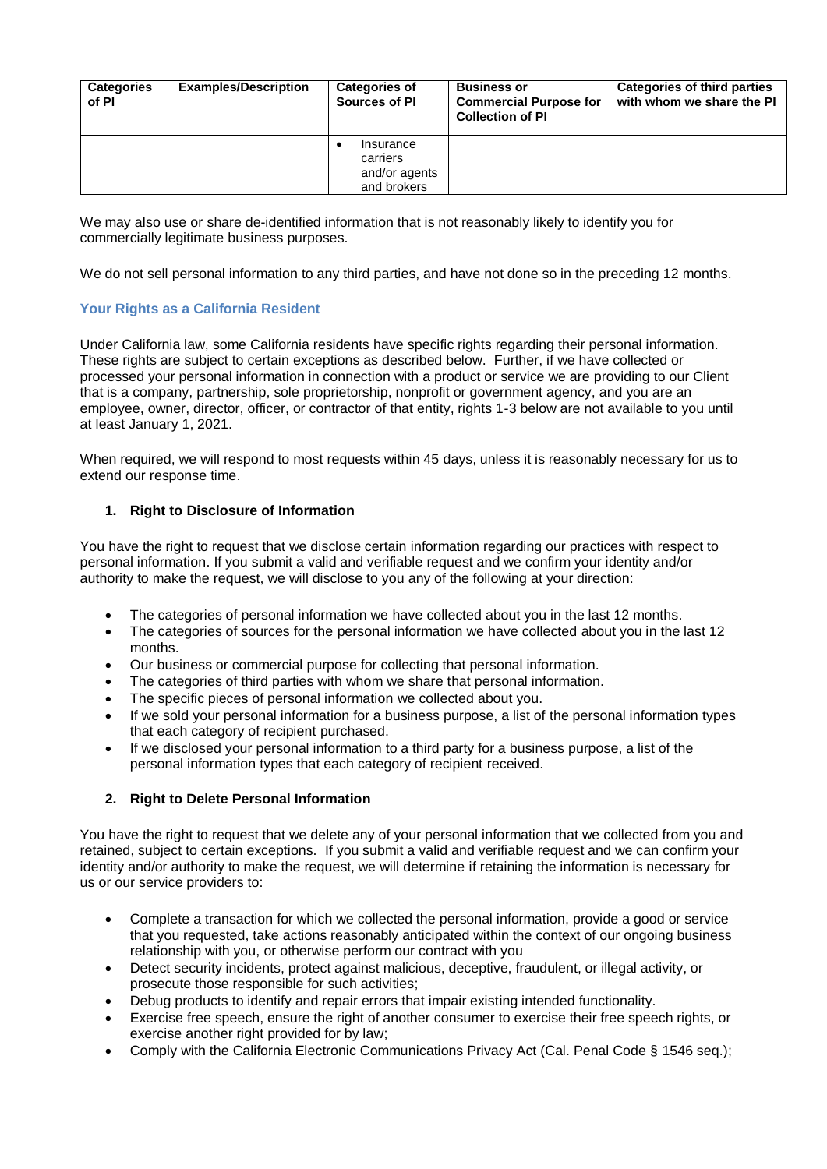| <b>Categories</b><br>of PI | <b>Examples/Description</b> | <b>Categories of</b><br>Sources of PI                 | <b>Business or</b><br><b>Commercial Purpose for</b><br><b>Collection of PI</b> | <b>Categories of third parties</b><br>with whom we share the PI |
|----------------------------|-----------------------------|-------------------------------------------------------|--------------------------------------------------------------------------------|-----------------------------------------------------------------|
|                            |                             | Insurance<br>carriers<br>and/or agents<br>and brokers |                                                                                |                                                                 |

We may also use or share de-identified information that is not reasonably likely to identify you for commercially legitimate business purposes.

We do not sell personal information to any third parties, and have not done so in the preceding 12 months.

## **Your Rights as a California Resident**

Under California law, some California residents have specific rights regarding their personal information. These rights are subject to certain exceptions as described below. Further, if we have collected or processed your personal information in connection with a product or service we are providing to our Client that is a company, partnership, sole proprietorship, nonprofit or government agency, and you are an employee, owner, director, officer, or contractor of that entity, rights 1-3 below are not available to you until at least January 1, 2021.

When required, we will respond to most requests within 45 days, unless it is reasonably necessary for us to extend our response time.

## **1. Right to Disclosure of Information**

You have the right to request that we disclose certain information regarding our practices with respect to personal information. If you submit a valid and verifiable request and we confirm your identity and/or authority to make the request, we will disclose to you any of the following at your direction:

- The categories of personal information we have collected about you in the last 12 months.
- The categories of sources for the personal information we have collected about you in the last 12 months.
- Our business or commercial purpose for collecting that personal information.
- The categories of third parties with whom we share that personal information.
- The specific pieces of personal information we collected about you.
- If we sold your personal information for a business purpose, a list of the personal information types that each category of recipient purchased.
- If we disclosed your personal information to a third party for a business purpose, a list of the personal information types that each category of recipient received.

## **2. Right to Delete Personal Information**

You have the right to request that we delete any of your personal information that we collected from you and retained, subject to certain exceptions. If you submit a valid and verifiable request and we can confirm your identity and/or authority to make the request, we will determine if retaining the information is necessary for us or our service providers to:

- Complete a transaction for which we collected the personal information, provide a good or service that you requested, take actions reasonably anticipated within the context of our ongoing business relationship with you, or otherwise perform our contract with you
- Detect security incidents, protect against malicious, deceptive, fraudulent, or illegal activity, or prosecute those responsible for such activities;
- Debug products to identify and repair errors that impair existing intended functionality.
- Exercise free speech, ensure the right of another consumer to exercise their free speech rights, or exercise another right provided for by law;
- Comply with the California Electronic Communications Privacy Act (Cal. Penal Code § 1546 seq.);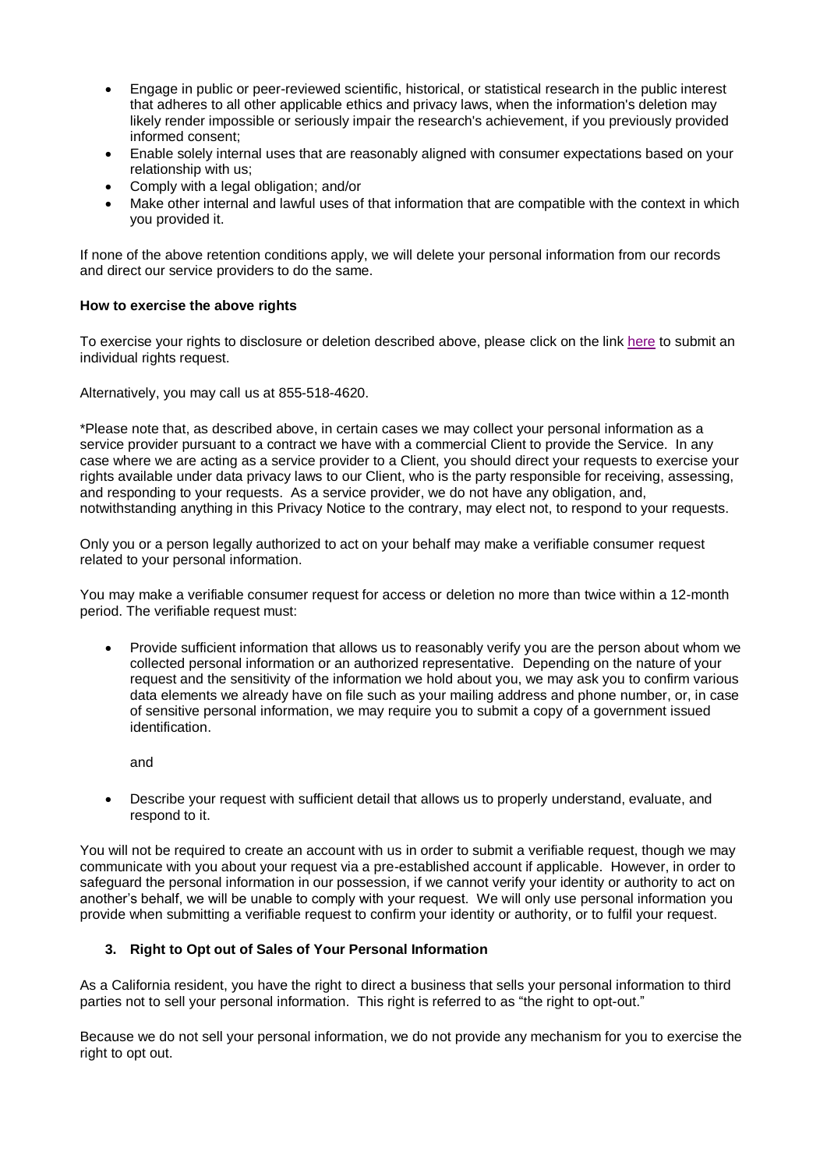- Engage in public or peer-reviewed scientific, historical, or statistical research in the public interest that adheres to all other applicable ethics and privacy laws, when the information's deletion may likely render impossible or seriously impair the research's achievement, if you previously provided informed consent;
- Enable solely internal uses that are reasonably aligned with consumer expectations based on your relationship with us;
- Comply with a legal obligation; and/or
- Make other internal and lawful uses of that information that are compatible with the context in which you provided it.

If none of the above retention conditions apply, we will delete your personal information from our records and direct our service providers to do the same.

## **How to exercise the above rights**

To exercise your rights to disclosure or deletion described above, please click on the lin[k here](https://www.mercer.com/privacy/individual-rights-request-form.html) to submit an individual rights request.

Alternatively, you may call us at 855-518-4620.

\*Please note that, as described above, in certain cases we may collect your personal information as a service provider pursuant to a contract we have with a commercial Client to provide the Service. In any case where we are acting as a service provider to a Client, you should direct your requests to exercise your rights available under data privacy laws to our Client, who is the party responsible for receiving, assessing, and responding to your requests. As a service provider, we do not have any obligation, and, notwithstanding anything in this Privacy Notice to the contrary, may elect not, to respond to your requests.

Only you or a person legally authorized to act on your behalf may make a verifiable consumer request related to your personal information.

You may make a verifiable consumer request for access or deletion no more than twice within a 12-month period. The verifiable request must:

- Provide sufficient information that allows us to reasonably verify you are the person about whom we collected personal information or an authorized representative. Depending on the nature of your request and the sensitivity of the information we hold about you, we may ask you to confirm various data elements we already have on file such as your mailing address and phone number, or, in case of sensitive personal information, we may require you to submit a copy of a government issued identification.
	- and
- Describe your request with sufficient detail that allows us to properly understand, evaluate, and respond to it.

You will not be required to create an account with us in order to submit a verifiable request, though we may communicate with you about your request via a pre-established account if applicable. However, in order to safeguard the personal information in our possession, if we cannot verify your identity or authority to act on another's behalf, we will be unable to comply with your request. We will only use personal information you provide when submitting a verifiable request to confirm your identity or authority, or to fulfil your request.

## **3. Right to Opt out of Sales of Your Personal Information**

As a California resident, you have the right to direct a business that sells your personal information to third parties not to sell your personal information. This right is referred to as "the right to opt-out."

Because we do not sell your personal information, we do not provide any mechanism for you to exercise the right to opt out.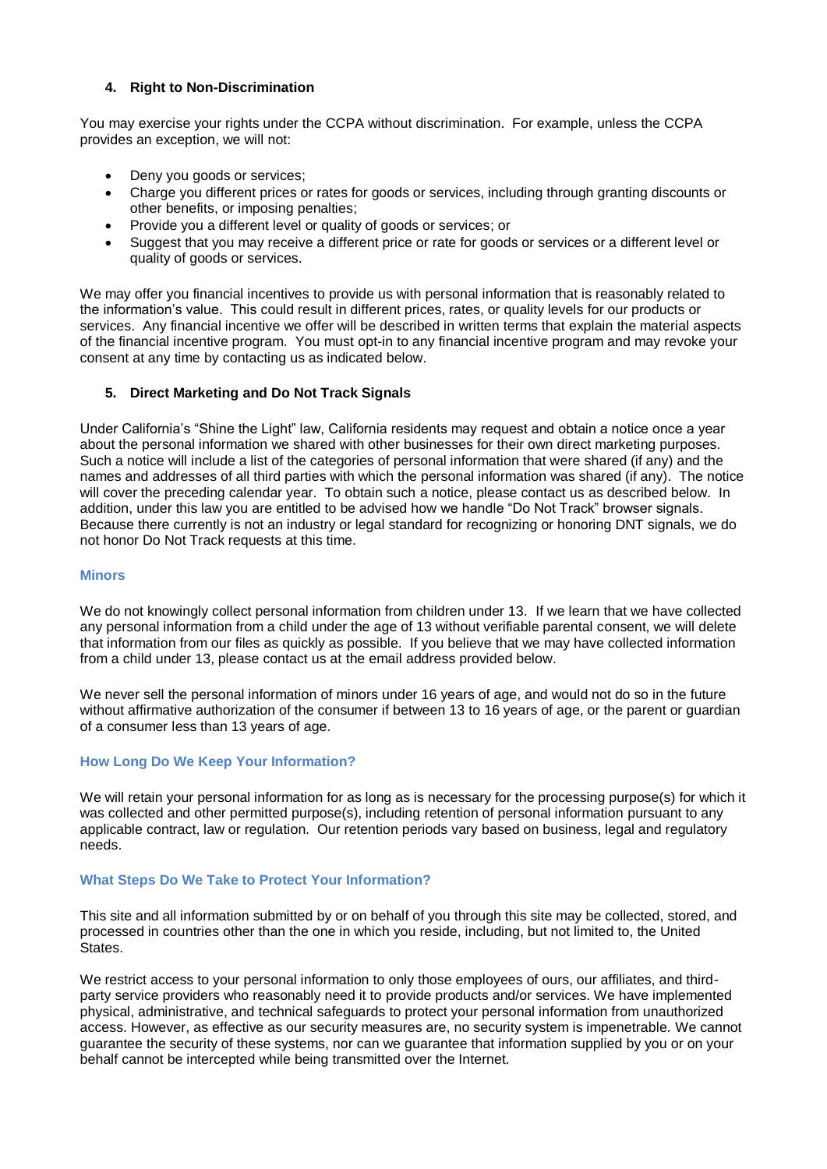## **4. Right to Non-Discrimination**

You may exercise your rights under the CCPA without discrimination. For example, unless the CCPA provides an exception, we will not:

- Deny you goods or services;
- Charge you different prices or rates for goods or services, including through granting discounts or other benefits, or imposing penalties;
- Provide you a different level or quality of goods or services; or
- Suggest that you may receive a different price or rate for goods or services or a different level or quality of goods or services.

We may offer you financial incentives to provide us with personal information that is reasonably related to the information's value. This could result in different prices, rates, or quality levels for our products or services. Any financial incentive we offer will be described in written terms that explain the material aspects of the financial incentive program. You must opt-in to any financial incentive program and may revoke your consent at any time by contacting us as indicated below.

## **5. Direct Marketing and Do Not Track Signals**

Under California's "Shine the Light" law, California residents may request and obtain a notice once a year about the personal information we shared with other businesses for their own direct marketing purposes. Such a notice will include a list of the categories of personal information that were shared (if any) and the names and addresses of all third parties with which the personal information was shared (if any). The notice will cover the preceding calendar year. To obtain such a notice, please contact us as described below. In addition, under this law you are entitled to be advised how we handle "Do Not Track" browser signals. Because there currently is not an industry or legal standard for recognizing or honoring DNT signals, we do not honor Do Not Track requests at this time.

## **Minors**

We do not knowingly collect personal information from children under 13. If we learn that we have collected any personal information from a child under the age of 13 without verifiable parental consent, we will delete that information from our files as quickly as possible. If you believe that we may have collected information from a child under 13, please contact us at the email address provided below.

We never sell the personal information of minors under 16 years of age, and would not do so in the future without affirmative authorization of the consumer if between 13 to 16 years of age, or the parent or guardian of a consumer less than 13 years of age.

## **How Long Do We Keep Your Information?**

We will retain your personal information for as long as is necessary for the processing purpose(s) for which it was collected and other permitted purpose(s), including retention of personal information pursuant to any applicable contract, law or regulation. Our retention periods vary based on business, legal and regulatory needs.

#### **What Steps Do We Take to Protect Your Information?**

This site and all information submitted by or on behalf of you through this site may be collected, stored, and processed in countries other than the one in which you reside, including, but not limited to, the United States.

We restrict access to your personal information to only those employees of ours, our affiliates, and thirdparty service providers who reasonably need it to provide products and/or services. We have implemented physical, administrative, and technical safeguards to protect your personal information from unauthorized access. However, as effective as our security measures are, no security system is impenetrable. We cannot guarantee the security of these systems, nor can we guarantee that information supplied by you or on your behalf cannot be intercepted while being transmitted over the Internet.